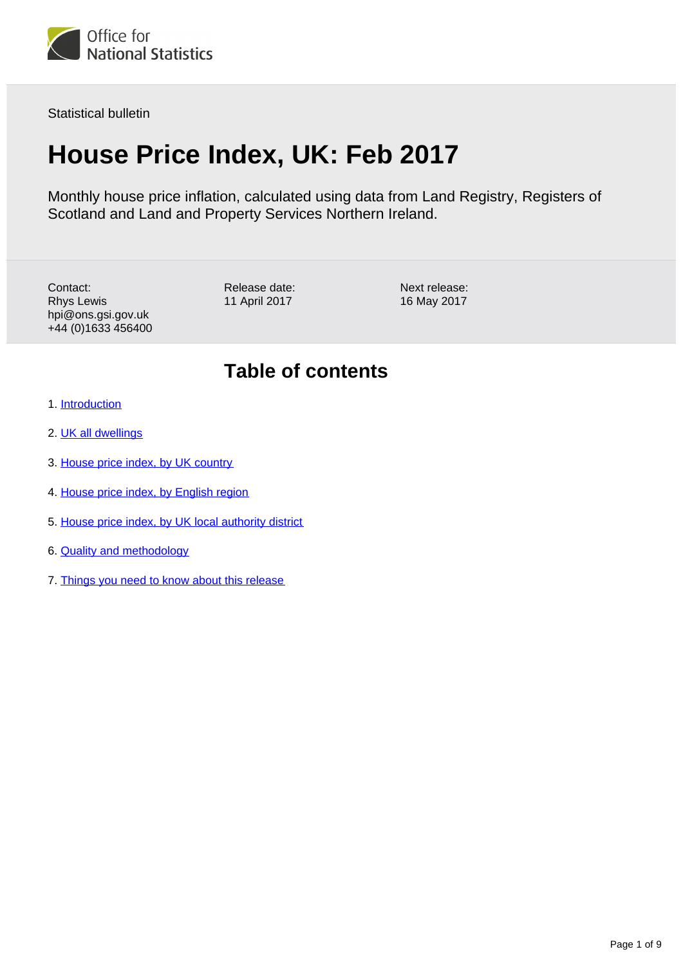

Statistical bulletin

# **House Price Index, UK: Feb 2017**

Monthly house price inflation, calculated using data from Land Registry, Registers of Scotland and Land and Property Services Northern Ireland.

Contact: Rhys Lewis hpi@ons.gsi.gov.uk +44 (0)1633 456400 Release date: 11 April 2017

Next release: 16 May 2017

### **Table of contents**

- 1. [Introduction](#page-1-0)
- 2. [UK all dwellings](#page-1-1)
- 3. [House price index, by UK country](#page-3-0)
- 4. [House price index, by English region](#page-4-0)
- 5. [House price index, by UK local authority district](#page-6-0)
- 6. [Quality and methodology](#page-7-0)
- 7. [Things you need to know about this release](#page-7-1)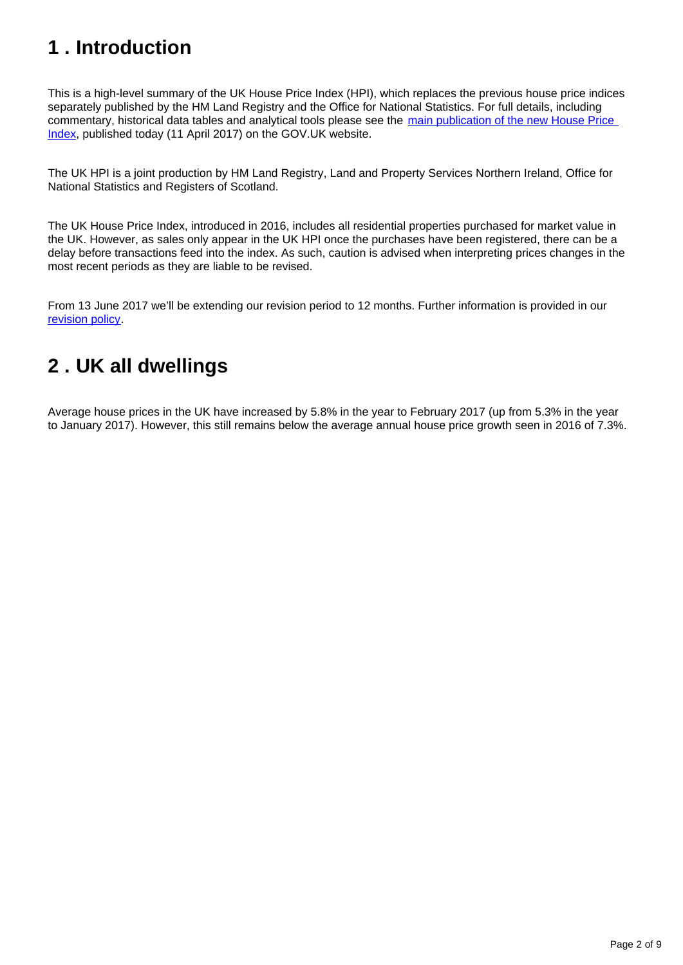# <span id="page-1-0"></span>**1 . Introduction**

This is a high-level summary of the UK House Price Index (HPI), which replaces the previous house price indices separately published by the HM Land Registry and the Office for National Statistics. For full details, including commentary, historical data tables and analytical tools please see the main publication of the new House Price [Index](https://www.gov.uk/government/collections/uk-house-price-index-reports), published today (11 April 2017) on the GOV.UK website.

The UK HPI is a joint production by HM Land Registry, Land and Property Services Northern Ireland, Office for National Statistics and Registers of Scotland.

The UK House Price Index, introduced in 2016, includes all residential properties purchased for market value in the UK. However, as sales only appear in the UK HPI once the purchases have been registered, there can be a delay before transactions feed into the index. As such, caution is advised when interpreting prices changes in the most recent periods as they are liable to be revised.

From 13 June 2017 we'll be extending our revision period to 12 months. Further information is provided in our [revision policy](https://www.gov.uk/government/publications/about-the-uk-house-price-index/about-the-uk-house-price-index).

## <span id="page-1-1"></span>**2 . UK all dwellings**

Average house prices in the UK have increased by 5.8% in the year to February 2017 (up from 5.3% in the year to January 2017). However, this still remains below the average annual house price growth seen in 2016 of 7.3%.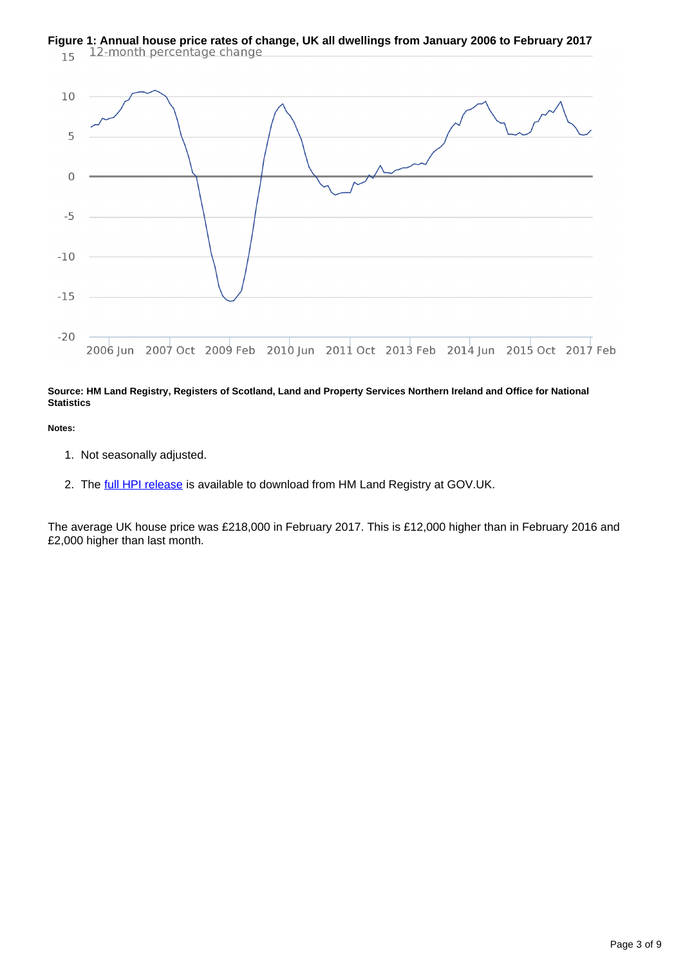# **Figure 1: Annual house price rates of change, UK all dwellings from January 2006 to February 2017**<br>15 12-month percentage change



### **Source: HM Land Registry, Registers of Scotland, Land and Property Services Northern Ireland and Office for National Statistics**

#### **Notes:**

- 1. Not seasonally adjusted.
- 2. The [full HPI release](https://www.gov.uk/government/collections/uk-house-price-index-reports) is available to download from HM Land Registry at GOV.UK.

The average UK house price was £218,000 in February 2017. This is £12,000 higher than in February 2016 and £2,000 higher than last month.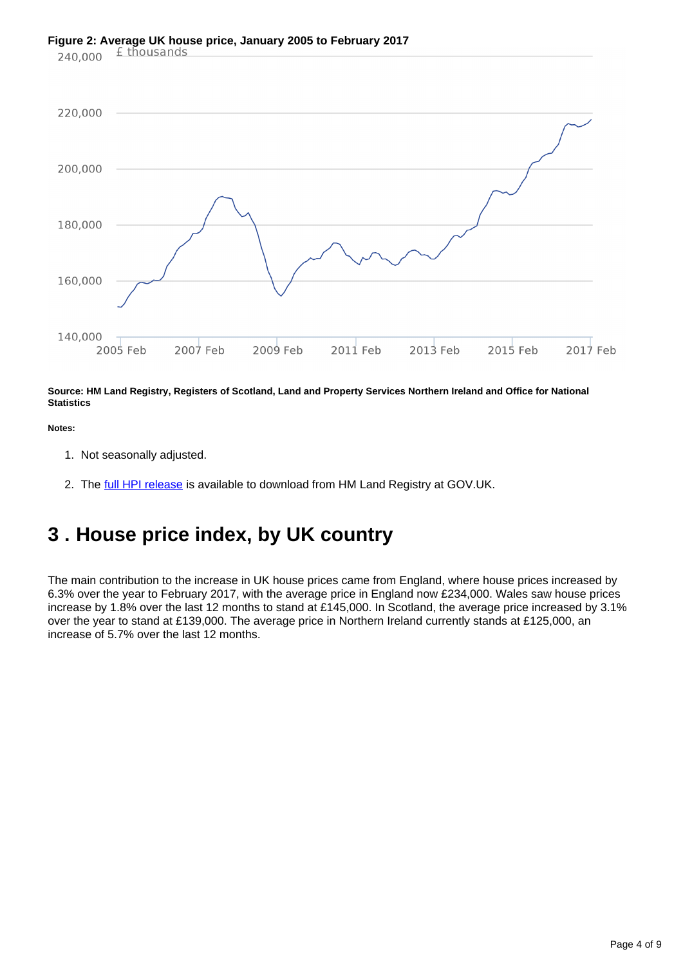# **Figure 2: Average UK house price, January 2005 to February 2017**<br>240,000  $\frac{\text{£}\text{thousands}}{}$



**Source: HM Land Registry, Registers of Scotland, Land and Property Services Northern Ireland and Office for National Statistics**

#### **Notes:**

- 1. Not seasonally adjusted.
- 2. The [full HPI release](https://www.gov.uk/government/collections/uk-house-price-index-reports) is available to download from HM Land Registry at GOV.UK.

### <span id="page-3-0"></span>**3 . House price index, by UK country**

The main contribution to the increase in UK house prices came from England, where house prices increased by 6.3% over the year to February 2017, with the average price in England now £234,000. Wales saw house prices increase by 1.8% over the last 12 months to stand at £145,000. In Scotland, the average price increased by 3.1% over the year to stand at £139,000. The average price in Northern Ireland currently stands at £125,000, an increase of 5.7% over the last 12 months.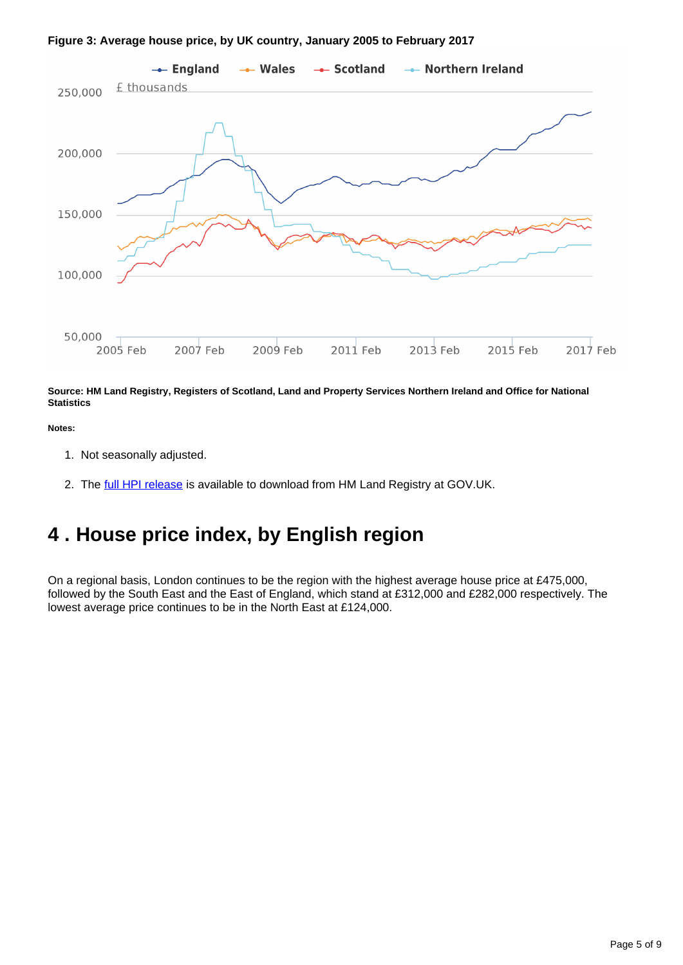### **Figure 3: Average house price, by UK country, January 2005 to February 2017**



**Source: HM Land Registry, Registers of Scotland, Land and Property Services Northern Ireland and Office for National Statistics**

#### **Notes:**

- 1. Not seasonally adjusted.
- 2. The [full HPI release](https://www.gov.uk/government/collections/uk-house-price-index-reports) is available to download from HM Land Registry at GOV.UK.

### <span id="page-4-0"></span>**4 . House price index, by English region**

On a regional basis, London continues to be the region with the highest average house price at £475,000, followed by the South East and the East of England, which stand at £312,000 and £282,000 respectively. The lowest average price continues to be in the North East at £124,000.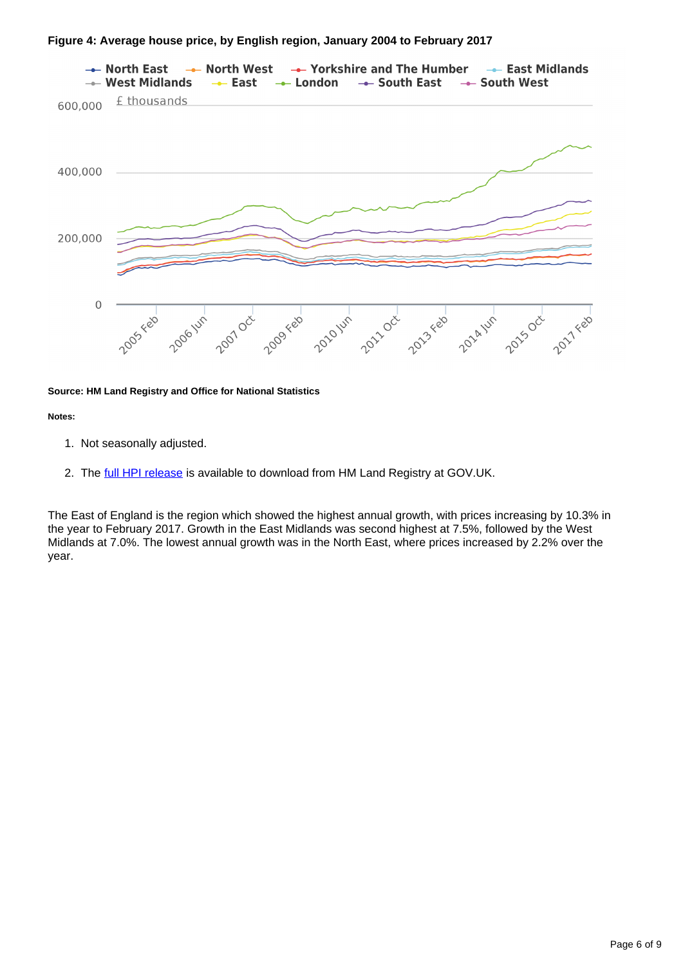### **Figure 4: Average house price, by English region, January 2004 to February 2017**



#### **Source: HM Land Registry and Office for National Statistics**

#### **Notes:**

- 1. Not seasonally adjusted.
- 2. The [full HPI release](https://www.gov.uk/government/collections/uk-house-price-index-reports) is available to download from HM Land Registry at GOV.UK.

The East of England is the region which showed the highest annual growth, with prices increasing by 10.3% in the year to February 2017. Growth in the East Midlands was second highest at 7.5%, followed by the West Midlands at 7.0%. The lowest annual growth was in the North East, where prices increased by 2.2% over the year.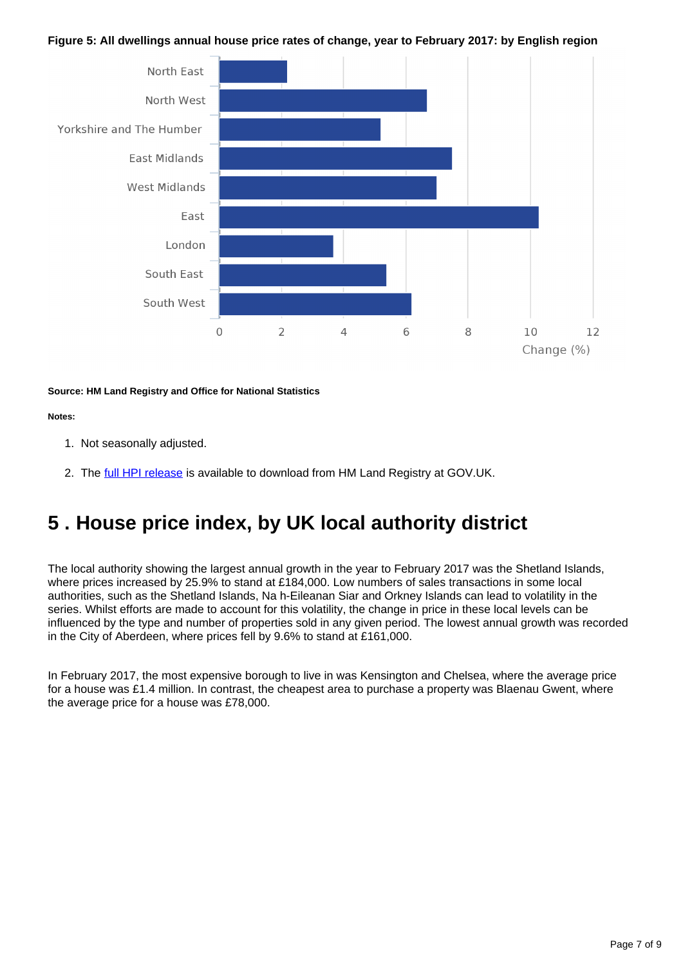### **Figure 5: All dwellings annual house price rates of change, year to February 2017: by English region**



### **Source: HM Land Registry and Office for National Statistics**

### **Notes:**

- 1. Not seasonally adjusted.
- 2. The [full HPI release](https://www.gov.uk/government/collections/uk-house-price-index-reports) is available to download from HM Land Registry at GOV.UK.

### <span id="page-6-0"></span>**5 . House price index, by UK local authority district**

The local authority showing the largest annual growth in the year to February 2017 was the Shetland Islands, where prices increased by 25.9% to stand at £184,000. Low numbers of sales transactions in some local authorities, such as the Shetland Islands, Na h-Eileanan Siar and Orkney Islands can lead to volatility in the series. Whilst efforts are made to account for this volatility, the change in price in these local levels can be influenced by the type and number of properties sold in any given period. The lowest annual growth was recorded in the City of Aberdeen, where prices fell by 9.6% to stand at £161,000.

In February 2017, the most expensive borough to live in was Kensington and Chelsea, where the average price for a house was £1.4 million. In contrast, the cheapest area to purchase a property was Blaenau Gwent, where the average price for a house was £78,000.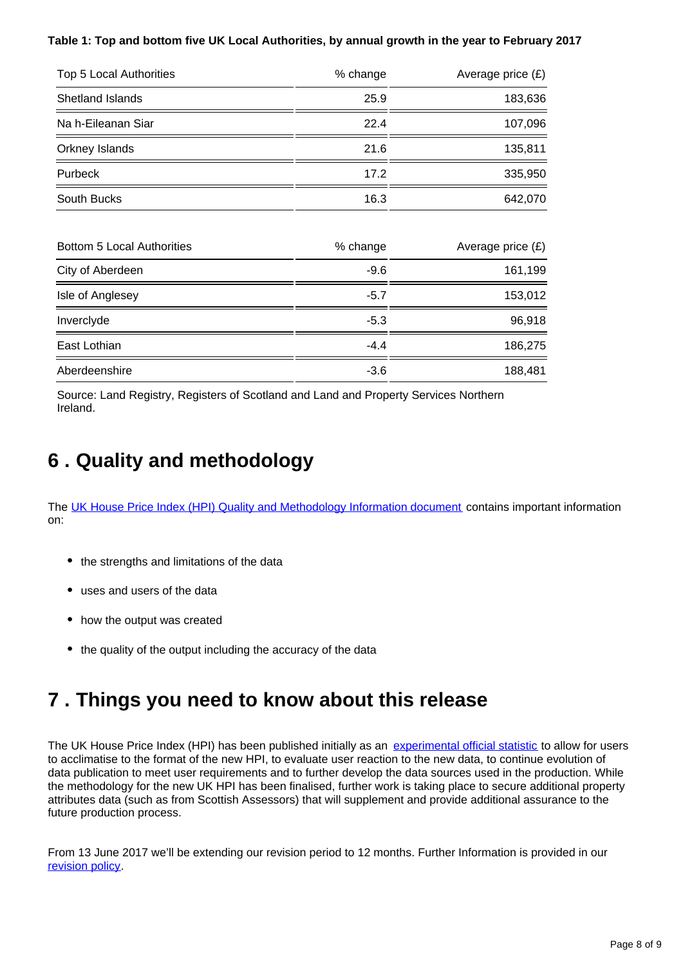### **Table 1: Top and bottom five UK Local Authorities, by annual growth in the year to February 2017**

| Top 5 Local Authorities           | % change | Average price $(E)$ |
|-----------------------------------|----------|---------------------|
| Shetland Islands                  | 25.9     | 183,636             |
| Na h-Eileanan Siar                | 22.4     | 107,096             |
| Orkney Islands                    | 21.6     | 135,811             |
| Purbeck                           | 17.2     | 335,950             |
| South Bucks                       | 16.3     | 642,070             |
| <b>Bottom 5 Local Authorities</b> | % change | Average price (£)   |
| City of Aberdeen                  | $-9.6$   | 161,199             |
| Isle of Anglesey                  | $-5.7$   | 153,012             |
| Inverclyde                        | $-5.3$   | 96,918              |
| East Lothian                      | $-4.4$   | 186,275             |
| Aberdeenshire                     | $-3.6$   | 188,481             |

Source: Land Registry, Registers of Scotland and Land and Property Services Northern Ireland.

# <span id="page-7-0"></span>**6 . Quality and methodology**

The [UK House Price Index \(HPI\) Quality and Methodology Information document](http://www.ons.gov.uk/economy/inflationandpriceindices/qmis/housepriceindexhpiqmi) contains important information on:

- the strengths and limitations of the data
- uses and users of the data
- how the output was created
- the quality of the output including the accuracy of the data

### <span id="page-7-1"></span>**7 . Things you need to know about this release**

The UK House Price Index (HPI) has been published initially as an [experimental official statistic](https://www.ons.gov.uk/methodology/methodologytopicsandstatisticalconcepts/guidetoexperimentalstatistics) to allow for users to acclimatise to the format of the new HPI, to evaluate user reaction to the new data, to continue evolution of data publication to meet user requirements and to further develop the data sources used in the production. While the methodology for the new UK HPI has been finalised, further work is taking place to secure additional property attributes data (such as from Scottish Assessors) that will supplement and provide additional assurance to the future production process.

From 13 June 2017 we'll be extending our revision period to 12 months. Further Information is provided in our [revision policy](https://www.gov.uk/government/publications/about-the-uk-house-price-index/about-the-uk-house-price-index).